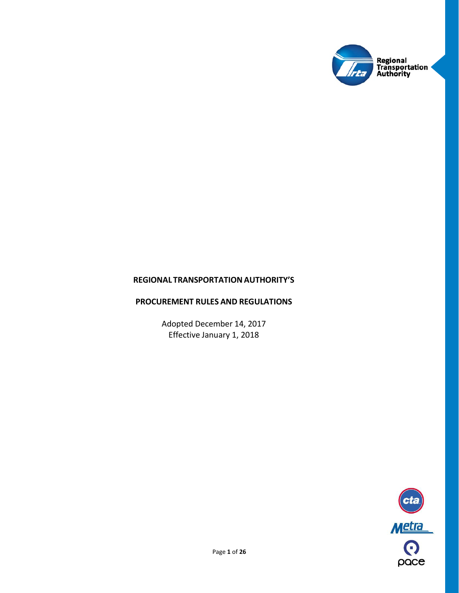

# **REGIONAL TRANSPORTATIONAUTHORITY'S**

# **PROCUREMENT RULES AND REGULATIONS**

Adopted December 14, 2017 Effective January 1, 2018

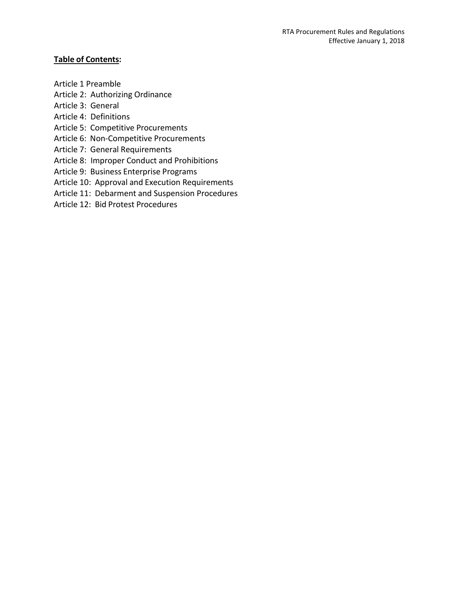# **Table of Contents:**

- Article 1 Preamble
- Article 2: Authorizing Ordinance
- Article 3: General
- Article 4: Definitions
- Article 5: Competitive Procurements
- Article 6: Non-Competitive Procurements
- Article 7: General Requirements
- Article 8: Improper Conduct and Prohibitions
- Article 9: Business Enterprise Programs
- Article 10: Approval and Execution Requirements
- Article 11: Debarment and Suspension Procedures
- Article 12: Bid Protest Procedures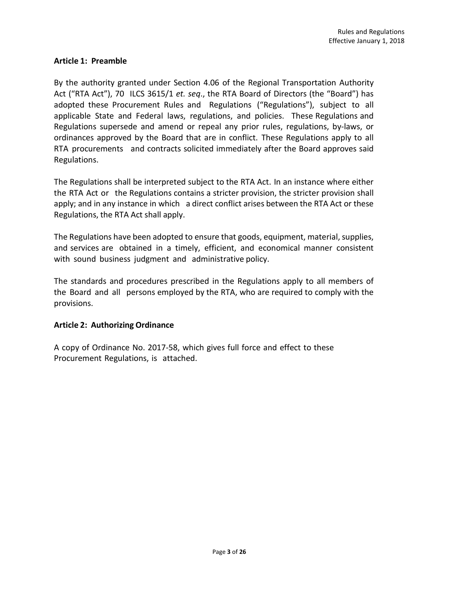#### **Article 1: Preamble**

By the authority granted under Section 4.06 of the Regional Transportation Authority Act ("RTA Act"), 70 ILCS 3615/1 *et. seq*., the RTA Board of Directors (the "Board") has adopted these Procurement Rules and Regulations ("Regulations"), subject to all applicable State and Federal laws, regulations, and policies. These Regulations and Regulations supersede and amend or repeal any prior rules, regulations, by-laws, or ordinances approved by the Board that are in conflict. These Regulations apply to all RTA procurements and contracts solicited immediately after the Board approves said Regulations.

The Regulations shall be interpreted subject to the RTA Act. In an instance where either the RTA Act or the Regulations contains a stricter provision, the stricter provision shall apply; and in any instance in which a direct conflict arises between the RTA Act or these Regulations, the RTA Act shall apply.

The Regulations have been adopted to ensure that goods, equipment, material, supplies, and services are obtained in a timely, efficient, and economical manner consistent with sound business judgment and administrative policy.

The standards and procedures prescribed in the Regulations apply to all members of the Board and all persons employed by the RTA, who are required to comply with the provisions.

#### **Article 2: Authorizing Ordinance**

A copy of Ordinance No. 2017-58, which gives full force and effect to these Procurement Regulations, is attached.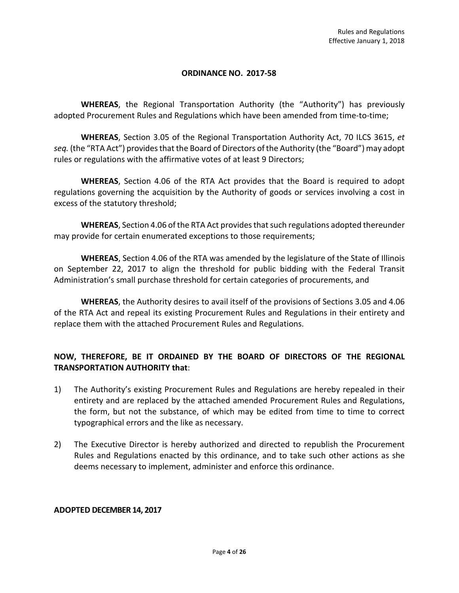# **ORDINANCE NO. 2017-58**

**WHEREAS**, the Regional Transportation Authority (the "Authority") has previously adopted Procurement Rules and Regulations which have been amended from time-to-time;

**WHEREAS**, Section 3.05 of the Regional Transportation Authority Act, 70 ILCS 3615, *et seq.* (the "RTA Act") provides that the Board of Directors of the Authority (the "Board") may adopt rules or regulations with the affirmative votes of at least 9 Directors;

**WHEREAS**, Section 4.06 of the RTA Act provides that the Board is required to adopt regulations governing the acquisition by the Authority of goods or services involving a cost in excess of the statutory threshold;

**WHEREAS**, Section 4.06 of the RTA Act provides that such regulations adopted thereunder may provide for certain enumerated exceptions to those requirements;

**WHEREAS**, Section 4.06 of the RTA was amended by the legislature of the State of Illinois on September 22, 2017 to align the threshold for public bidding with the Federal Transit Administration's small purchase threshold for certain categories of procurements, and

**WHEREAS**, the Authority desires to avail itself of the provisions of Sections 3.05 and 4.06 of the RTA Act and repeal its existing Procurement Rules and Regulations in their entirety and replace them with the attached Procurement Rules and Regulations.

# **NOW, THEREFORE, BE IT ORDAINED BY THE BOARD OF DIRECTORS OF THE REGIONAL TRANSPORTATION AUTHORITY that**:

- 1) The Authority's existing Procurement Rules and Regulations are hereby repealed in their entirety and are replaced by the attached amended Procurement Rules and Regulations, the form, but not the substance, of which may be edited from time to time to correct typographical errors and the like as necessary.
- 2) The Executive Director is hereby authorized and directed to republish the Procurement Rules and Regulations enacted by this ordinance, and to take such other actions as she deems necessary to implement, administer and enforce this ordinance.

# **ADOPTED DECEMBER 14, 2017**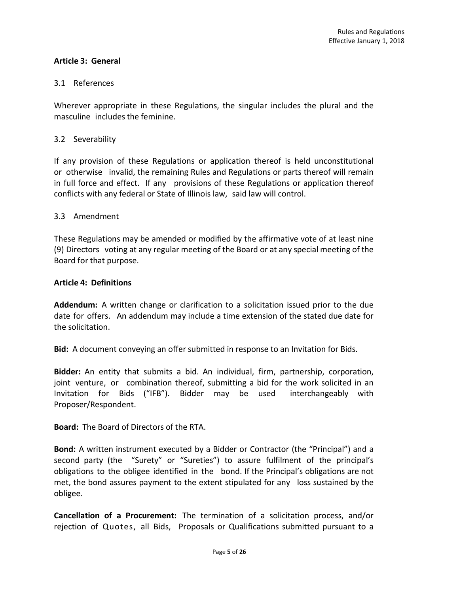# **Article 3: General**

# 3.1 References

Wherever appropriate in these Regulations, the singular includes the plural and the masculine includes the feminine.

# 3.2 Severability

If any provision of these Regulations or application thereof is held unconstitutional or otherwise invalid, the remaining Rules and Regulations or parts thereof will remain in full force and effect. If any provisions of these Regulations or application thereof conflicts with any federal or State of Illinois law, said law will control.

# 3.3 Amendment

These Regulations may be amended or modified by the affirmative vote of at least nine (9) Directors voting at any regular meeting of the Board or at any special meeting of the Board for that purpose.

#### **Article 4: Definitions**

**Addendum:** A written change or clarification to a solicitation issued prior to the due date for offers. An addendum may include a time extension of the stated due date for the solicitation.

**Bid:** A document conveying an offer submitted in response to an Invitation for Bids.

**Bidder:** An entity that submits a bid. An individual, firm, partnership, corporation, joint venture, or combination thereof, submitting a bid for the work solicited in an Invitation for Bids ("IFB"). Bidder may be used interchangeably with Proposer/Respondent.

**Board:** The Board of Directors of the RTA.

**Bond:** A written instrument executed by a Bidder or Contractor (the "Principal") and a second party (the "Surety" or "Sureties") to assure fulfilment of the principal's obligations to the obligee identified in the bond. If the Principal's obligations are not met, the bond assures payment to the extent stipulated for any loss sustained by the obligee.

**Cancellation of a Procurement:** The termination of a solicitation process, and/or rejection of Quotes, all Bids, Proposals or Qualifications submitted pursuant to a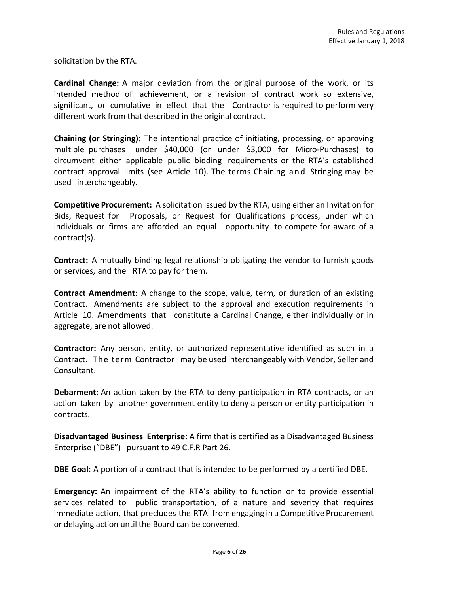solicitation by the RTA.

**Cardinal Change:** A major deviation from the original purpose of the work, or its intended method of achievement, or a revision of contract work so extensive, significant, or cumulative in effect that the Contractor is required to perform very different work from that described in the original contract.

**Chaining (or Stringing):** The intentional practice of initiating, processing, or approving multiple purchases under \$40,000 (or under \$3,000 for Micro-Purchases) to circumvent either applicable public bidding requirements or the RTA's established contract approval limits (see Article 10). The terms Chaining and Stringing may be used interchangeably.

**Competitive Procurement:** A solicitation issued by the RTA, using either an Invitation for Bids, Request for Proposals, or Request for Qualifications process, under which individuals or firms are afforded an equal opportunity to compete for award of a contract(s).

**Contract:** A mutually binding legal relationship obligating the vendor to furnish goods or services, and the RTA to pay for them.

**Contract Amendment**: A change to the scope, value, term, or duration of an existing Contract. Amendments are subject to the approval and execution requirements in Article 10. Amendments that constitute a Cardinal Change, either individually or in aggregate, are not allowed.

**Contractor:** Any person, entity, or authorized representative identified as such in a Contract. The term Contractor may be used interchangeably with Vendor, Seller and Consultant.

**Debarment:** An action taken by the RTA to deny participation in RTA contracts, or an action taken by another government entity to deny a person or entity participation in contracts.

**Disadvantaged Business Enterprise:** A firm that is certified as a Disadvantaged Business Enterprise ("DBE") pursuant to 49 C.F.R Part 26.

**DBE Goal:** A portion of a contract that is intended to be performed by a certified DBE.

**Emergency:** An impairment of the RTA's ability to function or to provide essential services related to public transportation, of a nature and severity that requires immediate action, that precludes the RTA from engaging in a Competitive Procurement or delaying action until the Board can be convened.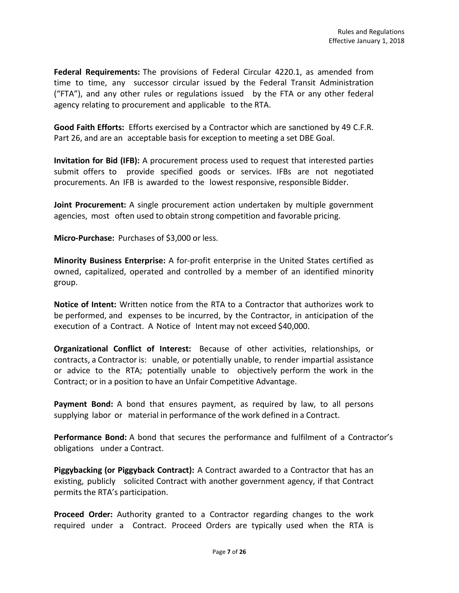**Federal Requirements:** The provisions of Federal Circular 4220.1, as amended from time to time, any successor circular issued by the Federal Transit Administration ("FTA"), and any other rules or regulations issued by the FTA or any other federal agency relating to procurement and applicable to the RTA.

**Good Faith Efforts:** Efforts exercised by a Contractor which are sanctioned by 49 C.F.R. Part 26, and are an acceptable basis for exception to meeting a set DBE Goal.

**Invitation for Bid (IFB):** A procurement process used to request that interested parties submit offers to provide specified goods or services. IFBs are not negotiated procurements. An IFB is awarded to the lowest responsive, responsible Bidder.

**Joint Procurement:** A single procurement action undertaken by multiple government agencies, most often used to obtain strong competition and favorable pricing.

**Micro-Purchase:** Purchases of \$3,000 or less.

**Minority Business Enterprise:** A for-profit enterprise in the United States certified as owned, capitalized, operated and controlled by a member of an identified minority group.

**Notice of Intent:** Written notice from the RTA to a Contractor that authorizes work to be performed, and expenses to be incurred, by the Contractor, in anticipation of the execution of a Contract. A Notice of Intent may not exceed \$40,000.

**Organizational Conflict of Interest:** Because of other activities, relationships, or contracts, a Contractor is: unable, or potentially unable, to render impartial assistance or advice to the RTA; potentially unable to objectively perform the work in the Contract; or in a position to have an Unfair Competitive Advantage.

**Payment Bond:** A bond that ensures payment, as required by law, to all persons supplying labor or material in performance of the work defined in a Contract.

**Performance Bond:** A bond that secures the performance and fulfilment of a Contractor's obligations under a Contract.

**Piggybacking (or Piggyback Contract):** A Contract awarded to a Contractor that has an existing, publicly solicited Contract with another government agency, if that Contract permits the RTA's participation.

**Proceed Order:** Authority granted to a Contractor regarding changes to the work required under a Contract. Proceed Orders are typically used when the RTA is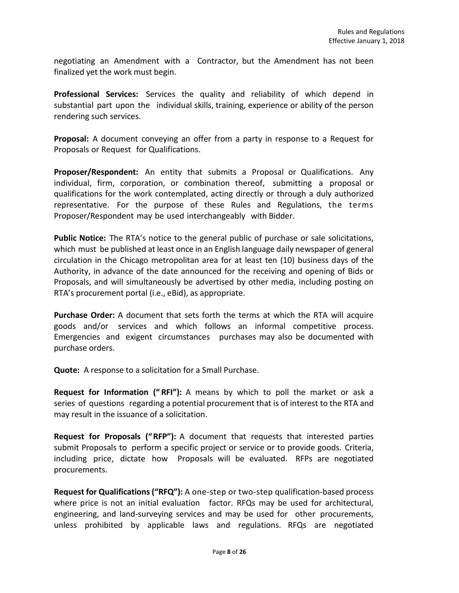negotiating an Amendment with a Contractor, but the Amendment has not been finalized yet the work must begin.

**Professional Services:** Services the quality and reliability of which depend in substantial part upon the individual skills, training, experience or ability of the person rendering such services.

**Proposal:** A document conveying an offer from a party in response to a Request for Proposals or Request for Qualifications.

**Proposer/Respondent:** An entity that submits a Proposal or Qualifications. Any individual, firm, corporation, or combination thereof, submitting a proposal or qualifications for the work contemplated, acting directly or through a duly authorized representative. For the purpose of these Rules and Regulations, the terms Proposer/Respondent may be used interchangeably with Bidder.

**Public Notice:** The RTA's notice to the general public of purchase or sale solicitations, which must be published at least once in an English language daily newspaper of general circulation in the Chicago metropolitan area for at least ten (10) business days of the Authority, in advance of the date announced for the receiving and opening of Bids or Proposals, and will simultaneously be advertised by other media, including posting on RTA's procurement portal (i.e., eBid), as appropriate.

**Purchase Order:** A document that sets forth the terms at which the RTA will acquire goods and/or services and which follows an informal competitive process. Emergencies and exigent circumstances purchases may also be documented with purchase orders.

**Quote:** A response to a solicitation for a Small Purchase.

**Request for Information (" RFI"):** A means by which to poll the market or ask a series of questions regarding a potential procurement that is of interest to the RTA and may result in the issuance of a solicitation.

**Request for Proposals ("RFP"):** A document that requests that interested parties submit Proposals to perform a specific project or service or to provide goods. Criteria, including price, dictate how Proposals will be evaluated. RFPs are negotiated procurements.

**Request for Qualifications ("RFQ"):** A one-step or two-step qualification-based process where price is not an initial evaluation factor. RFQs may be used for architectural, engineering, and land-surveying services and may be used for other procurements, unless prohibited by applicable laws and regulations. RFQs are negotiated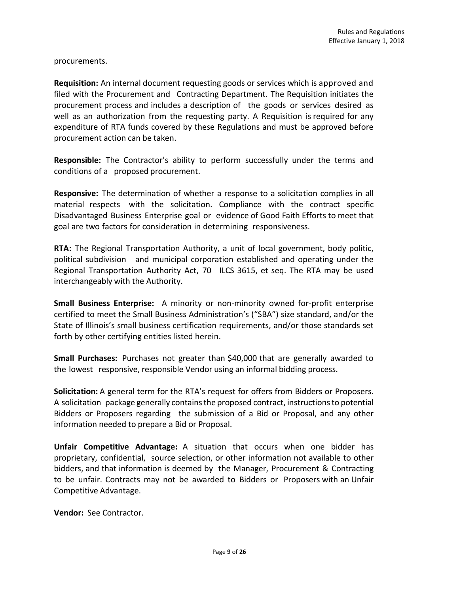procurements.

**Requisition:** An internal document requesting goods or services which is approved and filed with the Procurement and Contracting Department. The Requisition initiates the procurement process and includes a description of the goods or services desired as well as an authorization from the requesting party. A Requisition is required for any expenditure of RTA funds covered by these Regulations and must be approved before procurement action can be taken.

**Responsible:** The Contractor's ability to perform successfully under the terms and conditions of a proposed procurement.

**Responsive:** The determination of whether a response to a solicitation complies in all material respects with the solicitation. Compliance with the contract specific Disadvantaged Business Enterprise goal or evidence of Good Faith Efforts to meet that goal are two factors for consideration in determining responsiveness.

**RTA:** The Regional Transportation Authority, a unit of local government, body politic, political subdivision and municipal corporation established and operating under the Regional Transportation Authority Act, 70 ILCS 3615, et seq. The RTA may be used interchangeably with the Authority.

**Small Business Enterprise:** A minority or non-minority owned for-profit enterprise certified to meet the Small Business Administration's ("SBA") size standard, and/or the State of Illinois's small business certification requirements, and/or those standards set forth by other certifying entities listed herein.

**Small Purchases:** Purchases not greater than \$40,000 that are generally awarded to the lowest responsive, responsible Vendor using an informal bidding process.

**Solicitation:** A general term for the RTA's request for offers from Bidders or Proposers. A solicitation package generally containsthe proposed contract, instructionsto potential Bidders or Proposers regarding the submission of a Bid or Proposal, and any other information needed to prepare a Bid or Proposal.

**Unfair Competitive Advantage:** A situation that occurs when one bidder has proprietary, confidential, source selection, or other information not available to other bidders, and that information is deemed by the Manager, Procurement & Contracting to be unfair. Contracts may not be awarded to Bidders or Proposers with an Unfair Competitive Advantage.

**Vendor:** See Contractor.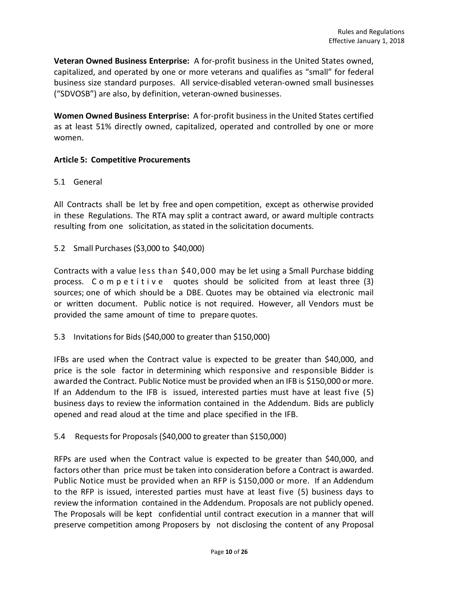**Veteran Owned Business Enterprise:** A for-profit business in the United States owned, capitalized, and operated by one or more veterans and qualifies as "small" for federal business size standard purposes. All service-disabled veteran-owned small businesses ("SDVOSB") are also, by definition, veteran-owned businesses.

**Women Owned Business Enterprise:** A for-profit business in the United States certified as at least 51% directly owned, capitalized, operated and controlled by one or more women.

# **Article 5: Competitive Procurements**

#### 5.1 General

All Contracts shall be let by free and open competition, except as otherwise provided in these Regulations. The RTA may split a contract award, or award multiple contracts resulting from one solicitation, as stated in the solicitation documents.

5.2 Small Purchases (\$3,000 to \$40,000)

Contracts with a value less than \$40,000 may be let using a Small Purchase bidding process. Competitive quotes should be solicited from at least three (3) sources; one of which should be a DBE. Quotes may be obtained via electronic mail or written document. Public notice is not required. However, all Vendors must be provided the same amount of time to prepare quotes.

5.3 Invitationsfor Bids (\$40,000 to greater than \$150,000)

IFBs are used when the Contract value is expected to be greater than \$40,000, and price is the sole factor in determining which responsive and responsible Bidder is awarded the Contract. Public Notice must be provided when an IFB is \$150,000 or more. If an Addendum to the IFB is issued, interested parties must have at least five (5) business days to review the information contained in the Addendum. Bids are publicly opened and read aloud at the time and place specified in the IFB.

5.4 Requests for Proposals (\$40,000 to greater than \$150,000)

RFPs are used when the Contract value is expected to be greater than \$40,000, and factors other than price must be taken into consideration before a Contract is awarded. Public Notice must be provided when an RFP is \$150,000 or more. If an Addendum to the RFP is issued, interested parties must have at least five (5) business days to review the information contained in the Addendum. Proposals are not publicly opened. The Proposals will be kept confidential until contract execution in a manner that will preserve competition among Proposers by not disclosing the content of any Proposal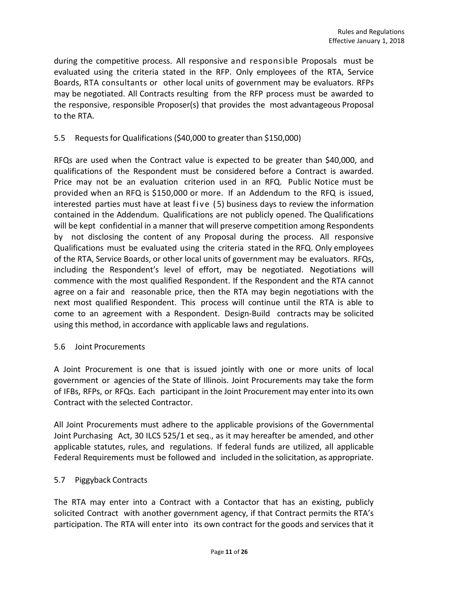during the competitive process. All responsive and responsible Proposals must be evaluated using the criteria stated in the RFP. Only employees of the RTA, Service Boards, RTA consultants or other local units of government may be evaluators. RFPs may be negotiated. All Contracts resulting from the RFP process must be awarded to the responsive, responsible Proposer(s) that provides the most advantageous Proposal to the RTA.

# 5.5 Requestsfor Qualifications (\$40,000 to greater than \$150,000)

RFQs are used when the Contract value is expected to be greater than \$40,000, and qualifications of the Respondent must be considered before a Contract is awarded. Price may not be an evaluation criterion used in an RFQ. Public Notice must be provided when an RFQ is \$150,000 or more. If an Addendum to the RFQ is issued, interested parties must have at least five ( 5) business days to review the information contained in the Addendum. Qualifications are not publicly opened. The Qualifications will be kept confidential in a manner that will preserve competition among Respondents by not disclosing the content of any Proposal during the process. All responsive Qualifications must be evaluated using the criteria stated in the RFQ. Only employees of the RTA, Service Boards, or other local units of government may be evaluators. RFQs, including the Respondent's level of effort, may be negotiated. Negotiations will commence with the most qualified Respondent. If the Respondent and the RTA cannot agree on a fair and reasonable price, then the RTA may begin negotiations with the next most qualified Respondent. This process will continue until the RTA is able to come to an agreement with a Respondent. Design-Build contracts may be solicited using this method, in accordance with applicable laws and regulations.

# 5.6 Joint Procurements

A Joint Procurement is one that is issued jointly with one or more units of local government or agencies of the State of Illinois. Joint Procurements may take the form of IFBs, RFPs, or RFQs. Each participant in the Joint Procurement may enter into its own Contract with the selected Contractor.

All Joint Procurements must adhere to the applicable provisions of the Governmental Joint Purchasing Act, 30 ILCS 525/1 et seq., as it may hereafter be amended, and other applicable statutes, rules, and regulations. If federal funds are utilized, all applicable Federal Requirements must be followed and included in the solicitation, as appropriate.

# 5.7 Piggyback Contracts

The RTA may enter into a Contract with a Contactor that has an existing, publicly solicited Contract with another government agency, if that Contract permits the RTA's participation. The RTA will enter into its own contract for the goods and services that it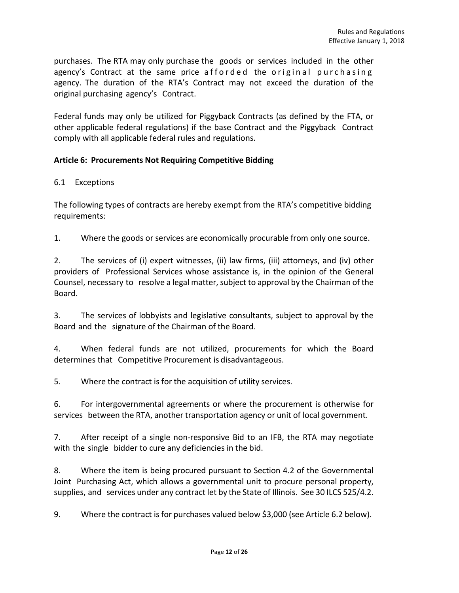purchases. The RTA may only purchase the goods or services included in the other agency's Contract at the same price afforded the original purchasing agency. The duration of the RTA's Contract may not exceed the duration of the original purchasing agency's Contract.

Federal funds may only be utilized for Piggyback Contracts (as defined by the FTA, or other applicable federal regulations) if the base Contract and the Piggyback Contract comply with all applicable federal rules and regulations.

# **Article 6: Procurements Not Requiring Competitive Bidding**

# 6.1 Exceptions

The following types of contracts are hereby exempt from the RTA's competitive bidding requirements:

1. Where the goods or services are economically procurable from only one source.

2. The services of (i) expert witnesses, (ii) law firms, (iii) attorneys, and (iv) other providers of Professional Services whose assistance is, in the opinion of the General Counsel, necessary to resolve a legal matter, subject to approval by the Chairman of the Board.

3. The services of lobbyists and legislative consultants, subject to approval by the Board and the signature of the Chairman of the Board.

4. When federal funds are not utilized, procurements for which the Board determines that Competitive Procurement is disadvantageous.

5. Where the contract is for the acquisition of utility services.

6. For intergovernmental agreements or where the procurement is otherwise for services between the RTA, another transportation agency or unit of local government.

7. After receipt of a single non-responsive Bid to an IFB, the RTA may negotiate with the single bidder to cure any deficiencies in the bid.

8. Where the item is being procured pursuant to Section 4.2 of the Governmental Joint Purchasing Act, which allows a governmental unit to procure personal property, supplies, and services under any contract let by the State of Illinois. See 30 ILCS 525/4.2.

9. Where the contract is for purchases valued below \$3,000 (see Article 6.2 below).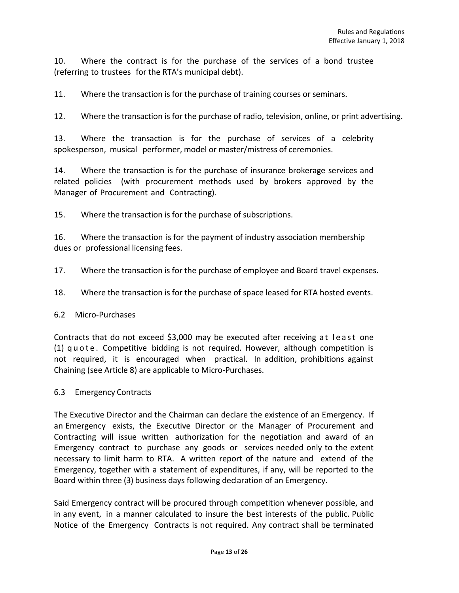10. Where the contract is for the purchase of the services of a bond trustee (referring to trustees for the RTA's municipal debt).

11. Where the transaction is for the purchase of training courses or seminars.

12. Where the transaction is for the purchase of radio, television, online, or print advertising.

13. Where the transaction is for the purchase of services of a celebrity spokesperson, musical performer, model or master/mistress of ceremonies.

14. Where the transaction is for the purchase of insurance brokerage services and related policies (with procurement methods used by brokers approved by the Manager of Procurement and Contracting).

15. Where the transaction is for the purchase of subscriptions.

16. Where the transaction is for the payment of industry association membership dues or professional licensing fees.

17. Where the transaction is for the purchase of employee and Board travel expenses.

18. Where the transaction is for the purchase of space leased for RTA hosted events.

#### 6.2 Micro-Purchases

Contracts that do not exceed \$3,000 may be executed after receiving at least one (1) quote . Competitive bidding is not required. However, although competition is not required, it is encouraged when practical. In addition, prohibitions against Chaining (see Article 8) are applicable to Micro-Purchases.

#### 6.3 Emergency Contracts

The Executive Director and the Chairman can declare the existence of an Emergency. If an Emergency exists, the Executive Director or the Manager of Procurement and Contracting will issue written authorization for the negotiation and award of an Emergency contract to purchase any goods or services needed only to the extent necessary to limit harm to RTA. A written report of the nature and extend of the Emergency, together with a statement of expenditures, if any, will be reported to the Board within three (3) business days following declaration of an Emergency.

Said Emergency contract will be procured through competition whenever possible, and in any event, in a manner calculated to insure the best interests of the public. Public Notice of the Emergency Contracts is not required. Any contract shall be terminated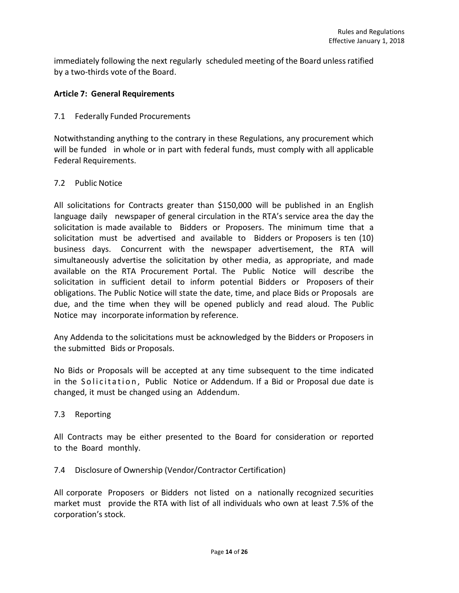immediately following the next regularly scheduled meeting of the Board unless ratified by a two-thirds vote of the Board.

# **Article 7: General Requirements**

#### 7.1 Federally Funded Procurements

Notwithstanding anything to the contrary in these Regulations, any procurement which will be funded in whole or in part with federal funds, must comply with all applicable Federal Requirements.

#### 7.2 Public Notice

All solicitations for Contracts greater than \$150,000 will be published in an English language daily newspaper of general circulation in the RTA's service area the day the solicitation is made available to Bidders or Proposers. The minimum time that a solicitation must be advertised and available to Bidders or Proposers is ten (10) business days. Concurrent with the newspaper advertisement, the RTA will simultaneously advertise the solicitation by other media, as appropriate, and made available on the RTA Procurement Portal. The Public Notice will describe the solicitation in sufficient detail to inform potential Bidders or Proposers of their obligations. The Public Notice will state the date, time, and place Bids or Proposals are due, and the time when they will be opened publicly and read aloud. The Public Notice may incorporate information by reference.

Any Addenda to the solicitations must be acknowledged by the Bidders or Proposers in the submitted Bids or Proposals.

No Bids or Proposals will be accepted at any time subsequent to the time indicated in the Solicitation, Public Notice or Addendum. If a Bid or Proposal due date is changed, it must be changed using an Addendum.

7.3 Reporting

All Contracts may be either presented to the Board for consideration or reported to the Board monthly.

7.4 Disclosure of Ownership (Vendor/Contractor Certification)

All corporate Proposers or Bidders not listed on a nationally recognized securities market must provide the RTA with list of all individuals who own at least 7.5% of the corporation's stock.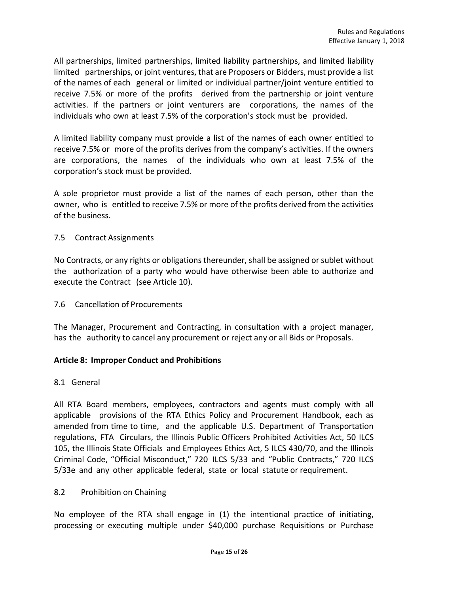All partnerships, limited partnerships, limited liability partnerships, and limited liability limited partnerships, or joint ventures, that are Proposers or Bidders, must provide a list of the names of each general or limited or individual partner/joint venture entitled to receive 7.5% or more of the profits derived from the partnership or joint venture activities. If the partners or joint venturers are corporations, the names of the individuals who own at least 7.5% of the corporation's stock must be provided.

A limited liability company must provide a list of the names of each owner entitled to receive 7.5% or more of the profits derives from the company's activities. If the owners are corporations, the names of the individuals who own at least 7.5% of the corporation's stock must be provided.

A sole proprietor must provide a list of the names of each person, other than the owner, who is entitled to receive 7.5% or more of the profits derived from the activities of the business.

#### 7.5 Contract Assignments

No Contracts, or any rights or obligations thereunder, shall be assigned or sublet without the authorization of a party who would have otherwise been able to authorize and execute the Contract (see Article 10).

7.6 Cancellation of Procurements

The Manager, Procurement and Contracting, in consultation with a project manager, has the authority to cancel any procurement or reject any or all Bids or Proposals.

# **Article 8: Improper Conduct and Prohibitions**

#### 8.1 General

All RTA Board members, employees, contractors and agents must comply with all applicable provisions of the RTA Ethics Policy and Procurement Handbook, each as amended from time to time, and the applicable U.S. Department of Transportation regulations, FTA Circulars, the Illinois Public Officers Prohibited Activities Act, 50 ILCS 105, the Illinois State Officials and Employees Ethics Act, 5 ILCS 430/70, and the Illinois Criminal Code, "Official Misconduct," 720 ILCS 5/33 and "Public Contracts," 720 ILCS 5/33e and any other applicable federal, state or local statute or requirement.

#### 8.2 Prohibition on Chaining

No employee of the RTA shall engage in (1) the intentional practice of initiating, processing or executing multiple under \$40,000 purchase Requisitions or Purchase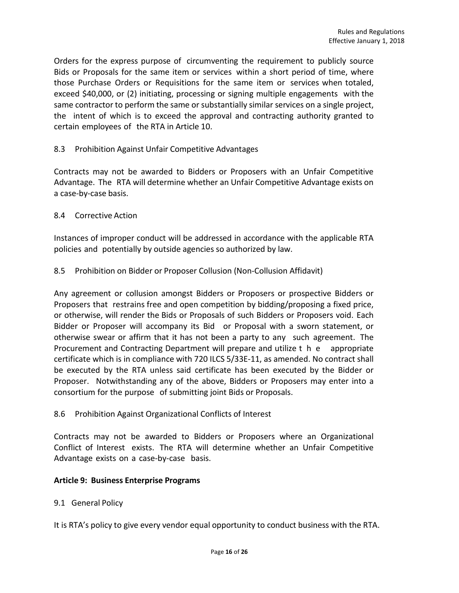Orders for the express purpose of circumventing the requirement to publicly source Bids or Proposals for the same item or services within a short period of time, where those Purchase Orders or Requisitions for the same item or services when totaled, exceed \$40,000, or (2) initiating, processing or signing multiple engagements with the same contractor to perform the same or substantially similar services on a single project, the intent of which is to exceed the approval and contracting authority granted to certain employees of the RTA in Article 10.

# 8.3 Prohibition Against Unfair Competitive Advantages

Contracts may not be awarded to Bidders or Proposers with an Unfair Competitive Advantage. The RTA will determine whether an Unfair Competitive Advantage exists on a case-by-case basis.

# 8.4 Corrective Action

Instances of improper conduct will be addressed in accordance with the applicable RTA policies and potentially by outside agencies so authorized by law.

# 8.5 Prohibition on Bidder or Proposer Collusion (Non-Collusion Affidavit)

Any agreement or collusion amongst Bidders or Proposers or prospective Bidders or Proposers that restrains free and open competition by bidding/proposing a fixed price, or otherwise, will render the Bids or Proposals of such Bidders or Proposers void. Each Bidder or Proposer will accompany its Bid or Proposal with a sworn statement, or otherwise swear or affirm that it has not been a party to any such agreement. The Procurement and Contracting Department will prepare and utilize t h e appropriate certificate which is in compliance with 720 ILCS 5/33E-11, as amended. No contract shall be executed by the RTA unless said certificate has been executed by the Bidder or Proposer. Notwithstanding any of the above, Bidders or Proposers may enter into a consortium for the purpose of submitting joint Bids or Proposals.

# 8.6 Prohibition Against Organizational Conflicts of Interest

Contracts may not be awarded to Bidders or Proposers where an Organizational Conflict of Interest exists. The RTA will determine whether an Unfair Competitive Advantage exists on a case-by-case basis.

#### **Article 9: Business Enterprise Programs**

# 9.1 General Policy

It is RTA's policy to give every vendor equal opportunity to conduct business with the RTA.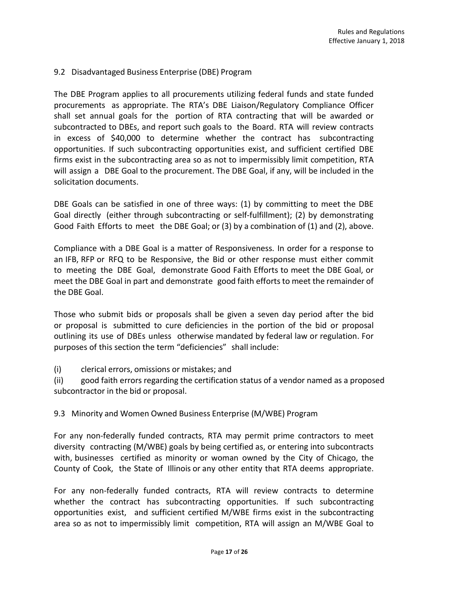# 9.2 Disadvantaged Business Enterprise (DBE) Program

The DBE Program applies to all procurements utilizing federal funds and state funded procurements as appropriate. The RTA's DBE Liaison/Regulatory Compliance Officer shall set annual goals for the portion of RTA contracting that will be awarded or subcontracted to DBEs, and report such goals to the Board. RTA will review contracts in excess of \$40,000 to determine whether the contract has subcontracting opportunities. If such subcontracting opportunities exist, and sufficient certified DBE firms exist in the subcontracting area so as not to impermissibly limit competition, RTA will assign a DBE Goal to the procurement. The DBE Goal, if any, will be included in the solicitation documents.

DBE Goals can be satisfied in one of three ways: (1) by committing to meet the DBE Goal directly (either through subcontracting or self-fulfillment); (2) by demonstrating Good Faith Efforts to meet the DBE Goal; or (3) by a combination of (1) and (2), above.

Compliance with a DBE Goal is a matter of Responsiveness. In order for a response to an IFB, RFP or RFQ to be Responsive, the Bid or other response must either commit to meeting the DBE Goal, demonstrate Good Faith Efforts to meet the DBE Goal, or meet the DBE Goal in part and demonstrate good faith efforts to meet the remainder of the DBE Goal.

Those who submit bids or proposals shall be given a seven day period after the bid or proposal is submitted to cure deficiencies in the portion of the bid or proposal outlining its use of DBEs unless otherwise mandated by federal law or regulation. For purposes of this section the term "deficiencies" shall include:

(i) clerical errors, omissions or mistakes; and

(ii) good faith errors regarding the certification status of a vendor named as a proposed subcontractor in the bid or proposal.

9.3 Minority and Women Owned Business Enterprise (M/WBE) Program

For any non-federally funded contracts, RTA may permit prime contractors to meet diversity contracting (M/WBE) goals by being certified as, or entering into subcontracts with, businesses certified as minority or woman owned by the City of Chicago, the County of Cook, the State of Illinois or any other entity that RTA deems appropriate.

For any non-federally funded contracts, RTA will review contracts to determine whether the contract has subcontracting opportunities. If such subcontracting opportunities exist, and sufficient certified M/WBE firms exist in the subcontracting area so as not to impermissibly limit competition, RTA will assign an M/WBE Goal to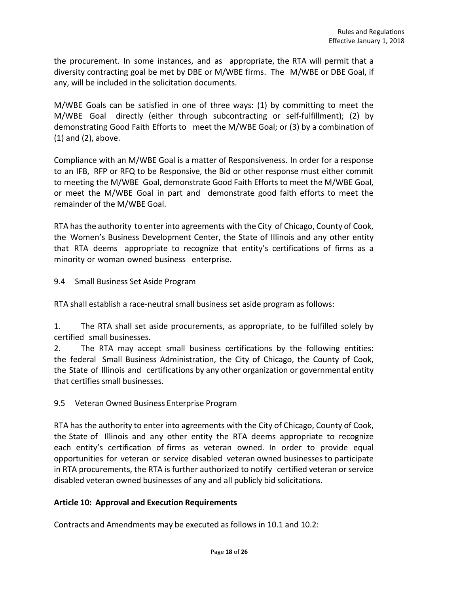the procurement. In some instances, and as appropriate, the RTA will permit that a diversity contracting goal be met by DBE or M/WBE firms. The M/WBE or DBE Goal, if any, will be included in the solicitation documents.

M/WBE Goals can be satisfied in one of three ways: (1) by committing to meet the M/WBE Goal directly (either through subcontracting or self-fulfillment); (2) by demonstrating Good Faith Efforts to meet the M/WBE Goal; or (3) by a combination of (1) and (2), above.

Compliance with an M/WBE Goal is a matter of Responsiveness. In order for a response to an IFB, RFP or RFQ to be Responsive, the Bid or other response must either commit to meeting the M/WBE Goal, demonstrate Good Faith Efforts to meet the M/WBE Goal, or meet the M/WBE Goal in part and demonstrate good faith efforts to meet the remainder of the M/WBE Goal.

RTA has the authority to enter into agreements with the City of Chicago, County of Cook, the Women's Business Development Center, the State of Illinois and any other entity that RTA deems appropriate to recognize that entity's certifications of firms as a minority or woman owned business enterprise.

9.4 Small Business Set Aside Program

RTA shall establish a race-neutral small business set aside program as follows:

1. The RTA shall set aside procurements, as appropriate, to be fulfilled solely by certified small businesses.

2. The RTA may accept small business certifications by the following entities: the federal Small Business Administration, the City of Chicago, the County of Cook, the State of Illinois and certifications by any other organization or governmental entity that certifies small businesses.

9.5 Veteran Owned Business Enterprise Program

RTA has the authority to enter into agreements with the City of Chicago, County of Cook, the State of Illinois and any other entity the RTA deems appropriate to recognize each entity's certification of firms as veteran owned. In order to provide equal opportunities for veteran or service disabled veteran owned businesses to participate in RTA procurements, the RTA is further authorized to notify certified veteran or service disabled veteran owned businesses of any and all publicly bid solicitations.

# **Article 10: Approval and Execution Requirements**

Contracts and Amendments may be executed as follows in 10.1 and 10.2: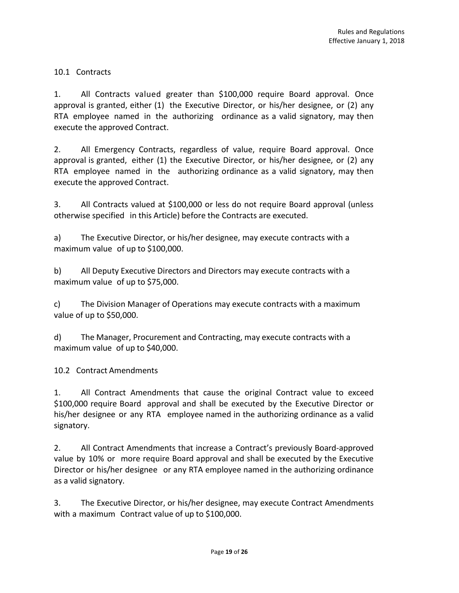# 10.1 Contracts

1. All Contracts valued greater than \$100,000 require Board approval. Once approval is granted, either (1) the Executive Director, or his/her designee, or (2) any RTA employee named in the authorizing ordinance as a valid signatory, may then execute the approved Contract.

2. All Emergency Contracts, regardless of value, require Board approval. Once approval is granted, either (1) the Executive Director, or his/her designee, or (2) any RTA employee named in the authorizing ordinance as a valid signatory, may then execute the approved Contract.

3. All Contracts valued at \$100,000 or less do not require Board approval (unless otherwise specified in this Article) before the Contracts are executed.

a) The Executive Director, or his/her designee, may execute contracts with a maximum value of up to \$100,000.

b) All Deputy Executive Directors and Directors may execute contracts with a maximum value of up to \$75,000.

c) The Division Manager of Operations may execute contracts with a maximum value of up to \$50,000.

d) The Manager, Procurement and Contracting, may execute contracts with a maximum value of up to \$40,000.

10.2 Contract Amendments

1. All Contract Amendments that cause the original Contract value to exceed \$100,000 require Board approval and shall be executed by the Executive Director or his/her designee or any RTA employee named in the authorizing ordinance as a valid signatory.

2. All Contract Amendments that increase a Contract's previously Board-approved value by 10% or more require Board approval and shall be executed by the Executive Director or his/her designee or any RTA employee named in the authorizing ordinance as a valid signatory.

3. The Executive Director, or his/her designee, may execute Contract Amendments with a maximum Contract value of up to \$100,000.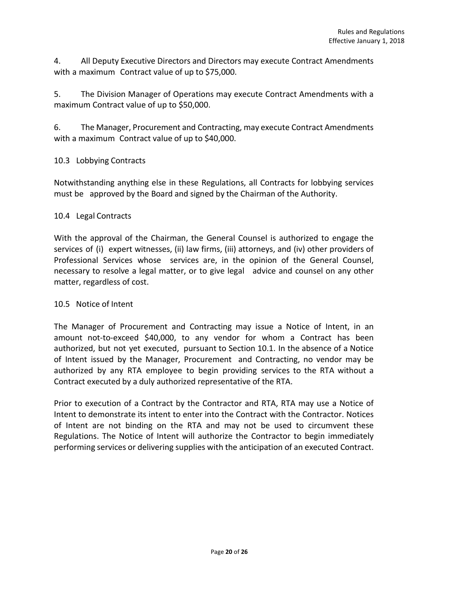4. All Deputy Executive Directors and Directors may execute Contract Amendments with a maximum Contract value of up to \$75,000.

5. The Division Manager of Operations may execute Contract Amendments with a maximum Contract value of up to \$50,000.

6. The Manager, Procurement and Contracting, may execute Contract Amendments with a maximum Contract value of up to \$40,000.

# 10.3 Lobbying Contracts

Notwithstanding anything else in these Regulations, all Contracts for lobbying services must be approved by the Board and signed by the Chairman of the Authority.

# 10.4 Legal Contracts

With the approval of the Chairman, the General Counsel is authorized to engage the services of (i) expert witnesses, (ii) law firms, (iii) attorneys, and (iv) other providers of Professional Services whose services are, in the opinion of the General Counsel, necessary to resolve a legal matter, or to give legal advice and counsel on any other matter, regardless of cost.

# 10.5 Notice of Intent

The Manager of Procurement and Contracting may issue a Notice of Intent, in an amount not-to-exceed \$40,000, to any vendor for whom a Contract has been authorized, but not yet executed, pursuant to Section 10.1. In the absence of a Notice of Intent issued by the Manager, Procurement and Contracting, no vendor may be authorized by any RTA employee to begin providing services to the RTA without a Contract executed by a duly authorized representative of the RTA.

Prior to execution of a Contract by the Contractor and RTA, RTA may use a Notice of Intent to demonstrate its intent to enter into the Contract with the Contractor. Notices of Intent are not binding on the RTA and may not be used to circumvent these Regulations. The Notice of Intent will authorize the Contractor to begin immediately performing services or delivering supplies with the anticipation of an executed Contract.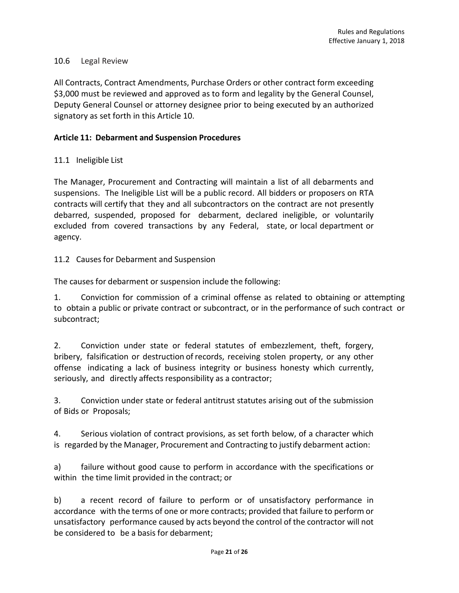# 10.6 Legal Review

All Contracts, Contract Amendments, Purchase Orders or other contract form exceeding \$3,000 must be reviewed and approved as to form and legality by the General Counsel, Deputy General Counsel or attorney designee prior to being executed by an authorized signatory as set forth in this Article 10.

# **Article 11: Debarment and Suspension Procedures**

11.1 Ineligible List

The Manager, Procurement and Contracting will maintain a list of all debarments and suspensions. The Ineligible List will be a public record. All bidders or proposers on RTA contracts will certify that they and all subcontractors on the contract are not presently debarred, suspended, proposed for debarment, declared ineligible, or voluntarily excluded from covered transactions by any Federal, state, or local department or agency.

11.2 Causes for Debarment and Suspension

The causes for debarment or suspension include the following:

1. Conviction for commission of a criminal offense as related to obtaining or attempting to obtain a public or private contract or subcontract, or in the performance of such contract or subcontract;

2. Conviction under state or federal statutes of embezzlement, theft, forgery, bribery, falsification or destruction of records, receiving stolen property, or any other offense indicating a lack of business integrity or business honesty which currently, seriously, and directly affects responsibility as a contractor;

3. Conviction under state or federal antitrust statutes arising out of the submission of Bids or Proposals;

4. Serious violation of contract provisions, as set forth below, of a character which is regarded by the Manager, Procurement and Contracting to justify debarment action:

a) failure without good cause to perform in accordance with the specifications or within the time limit provided in the contract; or

b) a recent record of failure to perform or of unsatisfactory performance in accordance with the terms of one or more contracts; provided that failure to perform or unsatisfactory performance caused by acts beyond the control of the contractor will not be considered to be a basis for debarment;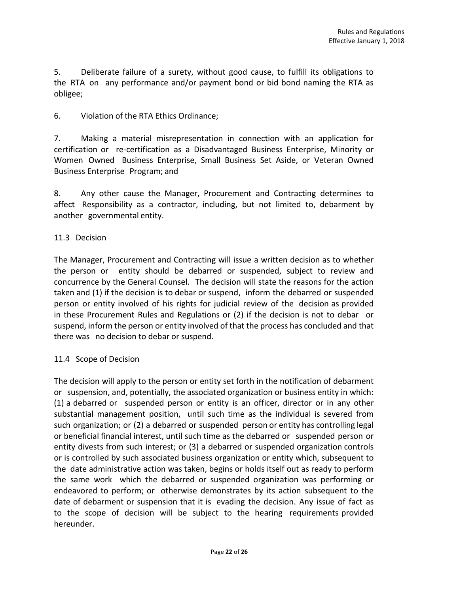5. Deliberate failure of a surety, without good cause, to fulfill its obligations to the RTA on any performance and/or payment bond or bid bond naming the RTA as obligee;

# 6. Violation of the RTA Ethics Ordinance;

7. Making a material misrepresentation in connection with an application for certification or re-certification as a Disadvantaged Business Enterprise, Minority or Women Owned Business Enterprise, Small Business Set Aside, or Veteran Owned Business Enterprise Program; and

8. Any other cause the Manager, Procurement and Contracting determines to affect Responsibility as a contractor, including, but not limited to, debarment by another governmental entity.

#### 11.3 Decision

The Manager, Procurement and Contracting will issue a written decision as to whether the person or entity should be debarred or suspended, subject to review and concurrence by the General Counsel. The decision will state the reasons for the action taken and (1) if the decision is to debar or suspend, inform the debarred or suspended person or entity involved of his rights for judicial review of the decision as provided in these Procurement Rules and Regulations or (2) if the decision is not to debar or suspend, inform the person or entity involved of that the process has concluded and that there was no decision to debar or suspend.

# 11.4 Scope of Decision

The decision will apply to the person or entity set forth in the notification of debarment or suspension, and, potentially, the associated organization or business entity in which: (1) a debarred or suspended person or entity is an officer, director or in any other substantial management position, until such time as the individual is severed from such organization; or (2) a debarred or suspended person or entity has controlling legal or beneficial financial interest, until such time as the debarred or suspended person or entity divests from such interest; or (3) a debarred or suspended organization controls or is controlled by such associated business organization or entity which, subsequent to the date administrative action was taken, begins or holds itself out as ready to perform the same work which the debarred or suspended organization was performing or endeavored to perform; or otherwise demonstrates by its action subsequent to the date of debarment or suspension that it is evading the decision. Any issue of fact as to the scope of decision will be subject to the hearing requirements provided hereunder.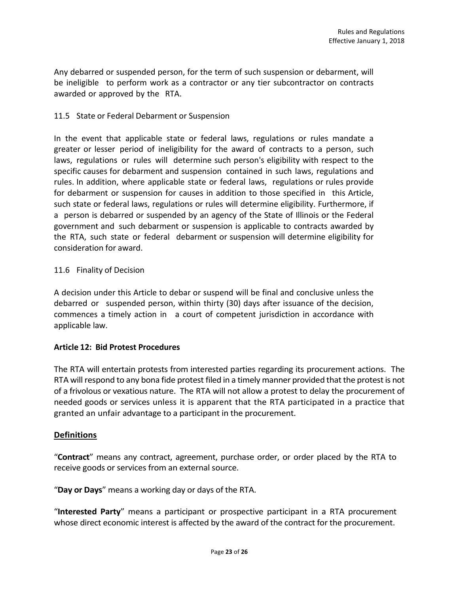Any debarred or suspended person, for the term of such suspension or debarment, will be ineligible to perform work as a contractor or any tier subcontractor on contracts awarded or approved by the RTA.

# 11.5 State or Federal Debarment or Suspension

In the event that applicable state or federal laws, regulations or rules mandate a greater or lesser period of ineligibility for the award of contracts to a person, such laws, regulations or rules will determine such person's eligibility with respect to the specific causes for debarment and suspension contained in such laws, regulations and rules. In addition, where applicable state or federal laws, regulations or rules provide for debarment or suspension for causes in addition to those specified in this Article, such state or federal laws, regulations or rules will determine eligibility. Furthermore, if a person is debarred or suspended by an agency of the State of Illinois or the Federal government and such debarment or suspension is applicable to contracts awarded by the RTA, such state or federal debarment or suspension will determine eligibility for consideration for award.

#### 11.6 Finality of Decision

A decision under this Article to debar or suspend will be final and conclusive unless the debarred or suspended person, within thirty (30) days after issuance of the decision, commences a timely action in a court of competent jurisdiction in accordance with applicable law.

# **Article 12: Bid Protest Procedures**

The RTA will entertain protests from interested parties regarding its procurement actions. The RTA will respond to any bona fide protest filed in a timely manner provided that the protest is not of a frivolous or vexatious nature. The RTA will not allow a protest to delay the procurement of needed goods or services unless it is apparent that the RTA participated in a practice that granted an unfair advantage to a participant in the procurement.

#### **Definitions**

"**Contract**" means any contract, agreement, purchase order, or order placed by the RTA to receive goods or services from an external source.

"**Day or Days**" means a working day or days of the RTA.

"**Interested Party**" means a participant or prospective participant in a RTA procurement whose direct economic interest is affected by the award of the contract for the procurement.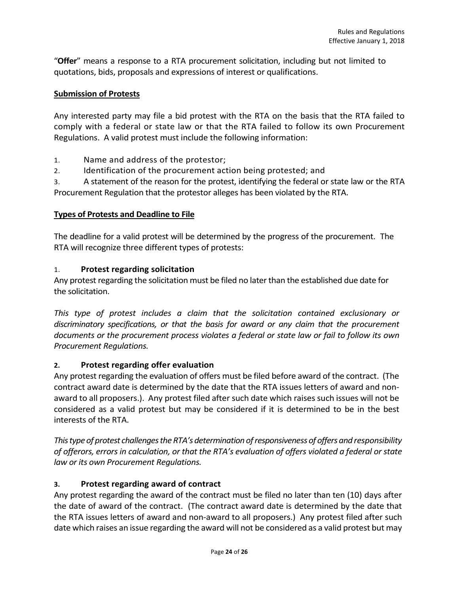"**Offer**" means a response to a RTA procurement solicitation, including but not limited to quotations, bids, proposals and expressions of interest or qualifications.

# **Submission of Protests**

Any interested party may file a bid protest with the RTA on the basis that the RTA failed to comply with a federal or state law or that the RTA failed to follow its own Procurement Regulations. A valid protest must include the following information:

1. Name and address of the protestor;

2. Identification of the procurement action being protested; and

3. A statement of the reason for the protest, identifying the federal or state law or the RTA Procurement Regulation that the protestor alleges has been violated by the RTA.

# **Types of Protests and Deadline to File**

The deadline for a valid protest will be determined by the progress of the procurement. The RTA will recognize three different types of protests:

# 1. **Protest regarding solicitation**

Any protest regarding the solicitation must be filed no later than the established due date for the solicitation.

This type of protest includes a claim that the solicitation contained exclusionary or *discriminatory specifications, or that the basis for award or any claim that the procurement documents or the procurement process violates a federal or state law or fail to follow its own Procurement Regulations.*

# **2. Protest regarding offer evaluation**

Any protest regarding the evaluation of offers must be filed before award of the contract. (The contract award date is determined by the date that the RTA issues letters of award and nonaward to all proposers.). Any protest filed after such date which raises such issues will not be considered as a valid protest but may be considered if it is determined to be in the best interests of the RTA.

*This type of protest challenges the RTA's determination of responsiveness of offers and responsibility of offerors, errors in calculation, or that the RTA's evaluation of offers violated a federal or state law or its own Procurement Regulations.*

# **3. Protest regarding award of contract**

Any protest regarding the award of the contract must be filed no later than ten (10) days after the date of award of the contract. (The contract award date is determined by the date that the RTA issues letters of award and non-award to all proposers.) Any protest filed after such date which raises an issue regarding the award will not be considered as a valid protest but may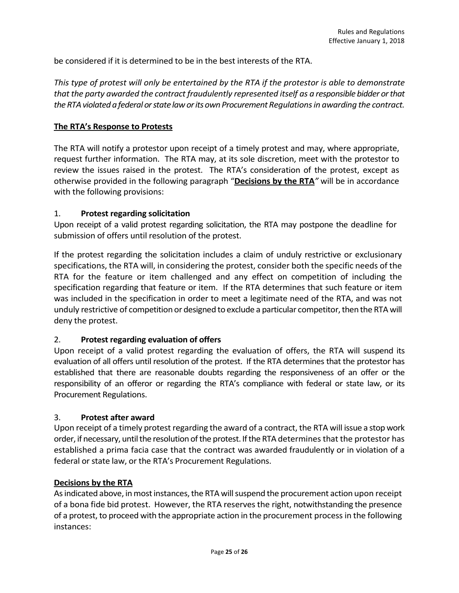be considered if it is determined to be in the best interests of the RTA.

*This type of protest will only be entertained by the RTA if the protestor is able to demonstrate that the party awarded the contract fraudulently represented itself as a responsible bidder or that the RTA violated a federal or state law or its own Procurement Regulations in awarding the contract.*

#### **The RTA's Response to Protests**

The RTA will notify a protestor upon receipt of a timely protest and may, where appropriate, request further information. The RTA may, at its sole discretion, meet with the protestor to review the issues raised in the protest. The RTA's consideration of the protest, except as otherwise provided in the following paragraph "**Decisions by the RTA***"* will be in accordance with the following provisions:

#### 1. **Protest regarding solicitation**

Upon receipt of a valid protest regarding solicitation, the RTA may postpone the deadline for submission of offers until resolution of the protest.

If the protest regarding the solicitation includes a claim of unduly restrictive or exclusionary specifications, the RTA will, in considering the protest, consider both the specific needs of the RTA for the feature or item challenged and any effect on competition of including the specification regarding that feature or item. If the RTA determines that such feature or item was included in the specification in order to meet a legitimate need of the RTA, and was not unduly restrictive of competition or designed to exclude a particular competitor, then the RTA will deny the protest.

# 2. **Protest regarding evaluation of offers**

Upon receipt of a valid protest regarding the evaluation of offers, the RTA will suspend its evaluation of all offers until resolution of the protest. If the RTA determines that the protestor has established that there are reasonable doubts regarding the responsiveness of an offer or the responsibility of an offeror or regarding the RTA's compliance with federal or state law, or its Procurement Regulations.

#### 3. **Protest after award**

Upon receipt of a timely protest regarding the award of a contract, the RTA will issue a stop work order, if necessary, until the resolution of the protest. If the RTA determines that the protestor has established a prima facia case that the contract was awarded fraudulently or in violation of a federal or state law, or the RTA's Procurement Regulations.

#### **Decisions by the RTA**

As indicated above, in most instances, the RTA will suspend the procurement action upon receipt of a bona fide bid protest. However, the RTA reserves the right, notwithstanding the presence of a protest, to proceed with the appropriate action in the procurement process in the following instances: